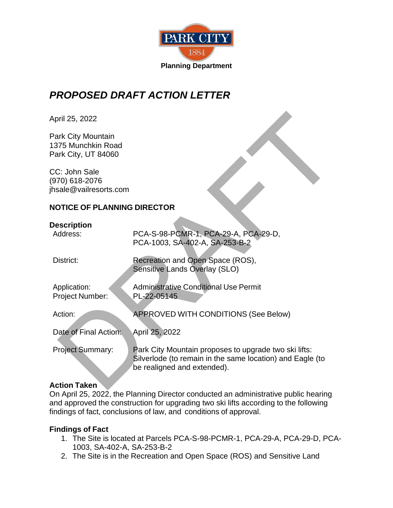

# *PROPOSED DRAFT ACTION LETTER*

## **NOTICE OF PLANNING DIRECTOR**

### **Description**

| April 25, 2022                                                  |                                                                                                                                                   |
|-----------------------------------------------------------------|---------------------------------------------------------------------------------------------------------------------------------------------------|
| Park City Mountain<br>1375 Munchkin Road<br>Park City, UT 84060 |                                                                                                                                                   |
| CC: John Sale<br>970) 618-2076<br>hsale@vailresorts.com         |                                                                                                                                                   |
| <b>NOTICE OF PLANNING DIRECTOR</b>                              |                                                                                                                                                   |
| Description<br>Address:                                         | PCA-S-98-PCMR-1, PCA-29-A, PCA-29-D,<br>PCA-1003, SA-402-A, SA-253-B-2                                                                            |
| District:                                                       | Recreation and Open Space (ROS),<br>Sensitive Lands Overlay (SLO)                                                                                 |
| Application:<br>Project Number:                                 | <b>Administrative Conditional Use Permit</b><br>PL-22-05145                                                                                       |
| Action:                                                         | APPROVED WITH CONDITIONS (See Below)                                                                                                              |
| Date of Final Action:                                           | April 25, 2022                                                                                                                                    |
| Project Summary:                                                | Park City Mountain proposes to upgrade two ski lifts:<br>Silverlode (to remain in the same location) and Eagle (to<br>be realigned and extended). |
| <b>Action Taken</b>                                             |                                                                                                                                                   |

#### **Action Taken**

On April 25, 2022, the Planning Director conducted an administrative public hearing and approved the construction for upgrading two ski lifts according to the following findings of fact, conclusions of law, and conditions of approval.

#### **Findings of Fact**

- 1. The Site is located at Parcels PCA-S-98-PCMR-1, PCA-29-A, PCA-29-D, PCA-1003, SA-402-A, SA-253-B-2
- 2. The Site is in the Recreation and Open Space (ROS) and Sensitive Land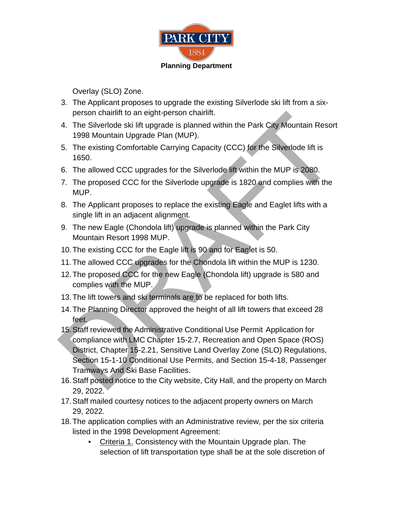

Overlay (SLO) Zone.

- 3. The Applicant proposes to upgrade the existing Silverlode ski lift from a sixperson chairlift to an eight-person chairlift.
- 4. The Silverlode ski lift upgrade is planned within the Park City Mountain Resort 1998 Mountain Upgrade Plan (MUP).
- 5. The existing Comfortable Carrying Capacity (CCC) for the Silverlode lift is 1650.
- 6. The allowed CCC upgrades for the Silverlode lift within the MUP is 2080.
- 7. The proposed CCC for the Silverlode upgrade is 1820 and complies with the MUP.
- 8. The Applicant proposes to replace the existing Eagle and Eaglet lifts with a single lift in an adjacent alignment.
- 9. The new Eagle (Chondola lift) upgrade is planned within the Park City Mountain Resort 1998 MUP.
- 10. The existing CCC for the Eagle lift is 90 and for Eaglet is 50.
- 11. The allowed CCC upgrades for the Chondola lift within the MUP is 1230.
- 12. The proposed CCC for the new Eagle (Chondola lift) upgrade is 580 and complies with the MUP.
- 13. The lift towers and ski terminals are to be replaced for both lifts.
- 14. The Planning Director approved the height of all lift towers that exceed 28 feet.
- 15. Staff reviewed the Administrative Conditional Use Permit Application for compliance with LMC Chapter 15-2.7, Recreation and Open Space (ROS) District, Chapter 15-2.21, Sensitive Land Overlay Zone (SLO) Regulations, Section 15-1-10 Conditional Use Permits, and Section 15-4-18, Passenger Tramways And Ski Base Facilities. person charifit to an eight-person charifit.<br>
4. The Siverlode ski lift upgrade is planned within the Park City Mountain Resort<br>
1998 Mountain Upgrade Plan (MUP).<br>
5. The existing Comfortable Carrying Capacity (CCC) for th
- 16. Staff posted notice to the City website, City Hall, and the property on March 29, 2022.
- 17. Staff mailed courtesy notices to the adjacent property owners on March 29, 2022.
- 18. The application complies with an Administrative review, per the six criteria listed in the 1998 Development Agreement:
	- Criteria 1. Consistency with the Mountain Upgrade plan. The selection of lift transportation type shall be at the sole discretion of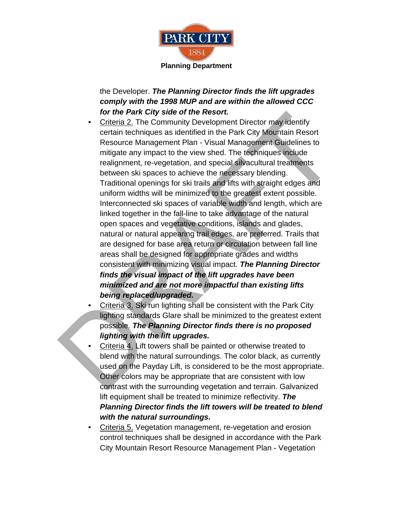

the Developer. *The Planning Director finds the lift upgrades comply with the 1998 MUP and are within the allowed CCC for the Park City side of the Resort.*

• Criteria 2. The Community Development Director may identify certain techniques as identified in the Park City Mountain Resort Resource Management Plan - Visual Management Guidelines to mitigate any impact to the view shed. The techniques include realignment, re-vegetation, and special silvacultural treatments between ski spaces to achieve the necessary blending. Traditional openings for ski trails and lifts with straight edges and uniform widths will be minimized to the greatest extent possible. Interconnected ski spaces of variable width and length, which are linked together in the fall-line to take advantage of the natural open spaces and vegetative conditions, islands and glades, natural or natural appearing trail edges, are preferred. Trails that are designed for base area return or circulation between fall line areas shall be designed for appropriate grades and widths consistent with minimizing visual impact. *The Planning Director finds the visual impact of the lift upgrades have been minimized and are not more impactful than existing lifts being replaced/upgraded.*  For the Park Ciry side of the Resort.<br>
Criterial 2, The Community Development Director may identify<br>
certain techniques as identified in the Park City Mountain Resort<br>
Resource Management Pian - Visual Management Clucielin

• Criteria 3. Ski run lighting shall be consistent with the Park City lighting standards Glare shall be minimized to the greatest extent possible. *The Planning Director finds there is no proposed lighting with the lift upgrades.* 

- Criteria 4. Lift towers shall be painted or otherwise treated to blend with the natural surroundings. The color black, as currently used on the Payday Lift, is considered to be the most appropriate. Other colors may be appropriate that are consistent with low contrast with the surrounding vegetation and terrain. Galvanized lift equipment shall be treated to minimize reflectivity. *The Planning Director finds the lift towers will be treated to blend with the natural surroundings.*
- Criteria 5. Vegetation management, re-vegetation and erosion control techniques shall be designed in accordance with the Park City Mountain Resort Resource Management Plan - Vegetation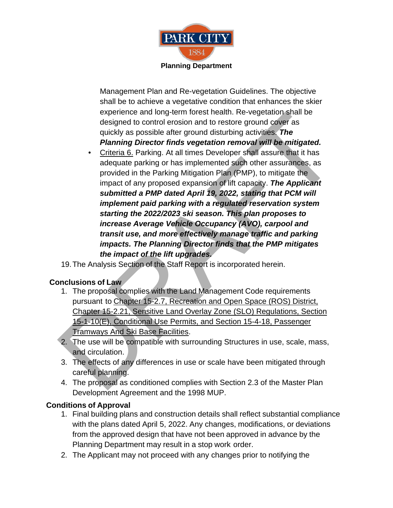

Management Plan and Re-vegetation Guidelines. The objective shall be to achieve a vegetative condition that enhances the skier experience and long-term forest health. Re-vegetation shall be designed to control erosion and to restore ground cover as quickly as possible after ground disturbing activities. *The Planning Director finds vegetation removal will be mitigated.*

- Criteria 6. Parking. At all times Developer shall assure that it has adequate parking or has implemented such other assurances, as provided in the Parking Mitigation Plan (PMP), to mitigate the impact of any proposed expansion of lift capacity. *The Applicant submitted a PMP dated April 19, 2022, stating that PCM will implement paid parking with a regulated reservation system starting the 2022/2023 ski season. This plan proposes to increase Average Vehicle Occupancy (AVO), carpool and transit use, and more effectively manage traffic and parking impacts. The Planning Director finds that the PMP mitigates the impact of the lift upgrades.* experience and non-term forest nearch. Ke-vegeration salid be designed to control erosion and to restore ground cover as<br>quickly as possible after ground disturbing activities. The<br>**Planning Director finds vegetation remov** 
	- 19. The Analysis Section of the Staff Report is incorporated herein.

# **Conclusions of Law**

- 1. The proposal complies with the Land Management Code requirements pursuant to Chapter 15-2.7, Recreation and Open Space (ROS) District, Chapter 15-2.21, Sensitive Land Overlay Zone (SLO) Regulations, Section 15-1-10(E), Conditional Use Permits, and Section 15-4-18, Passenger Tramways And Ski Base Facilities.
- 2. The use will be compatible with surrounding Structures in use, scale, mass, and circulation.
- 3. The effects of any differences in use or scale have been mitigated through careful planning.
- 4. The proposal as conditioned complies with Section 2.3 of the Master Plan Development Agreement and the 1998 MUP.

# **Conditions of Approval**

- 1. Final building plans and construction details shall reflect substantial compliance with the plans dated April 5, 2022. Any changes, modifications, or deviations from the approved design that have not been approved in advance by the Planning Department may result in a stop work order.
- 2. The Applicant may not proceed with any changes prior to notifying the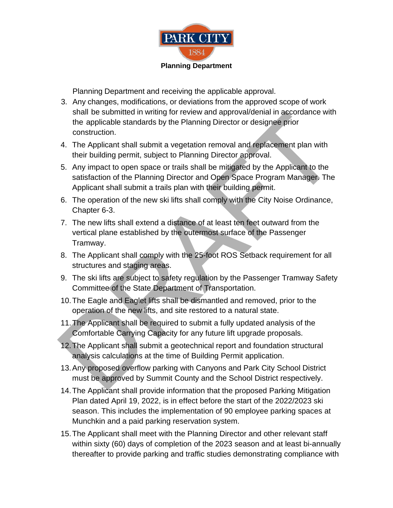

Planning Department and receiving the applicable approval.

- 3. Any changes, modifications, or deviations from the approved scope of work shall be submitted in writing for review and approval/denial in accordance with the applicable standards by the Planning Director or designee prior construction.
- 4. The Applicant shall submit a vegetation removal and replacement plan with their building permit, subject to Planning Director approval.
- 5. Any impact to open space or trails shall be mitigated by the Applicant to the satisfaction of the Planning Director and Open Space Program Manager. The Applicant shall submit a trails plan with their building permit. shall be summited in writing for review and approval density the applicable standards by the Planning Director or designed prior<br>construction.<br>4. The Applicant shall submit a vegetation removal and replacement plan with<br>th
- 6. The operation of the new ski lifts shall comply with the City Noise Ordinance, Chapter 6-3.
- 7. The new lifts shall extend a distance of at least ten feet outward from the vertical plane established by the outermost surface of the Passenger Tramway.
- 8. The Applicant shall comply with the 25-foot ROS Setback requirement for all structures and staging areas.
- 9. The ski lifts are subject to safety regulation by the Passenger Tramway Safety Committee of the State Department of Transportation.
- 10. The Eagle and Eaglet lifts shall be dismantled and removed, prior to the operation of the new lifts, and site restored to a natural state.
- 11. The Applicant shall be required to submit a fully updated analysis of the Comfortable Carrying Capacity for any future lift upgrade proposals.
- 12. The Applicant shall submit a geotechnical report and foundation structural analysis calculations at the time of Building Permit application.
- 13. Any proposed overflow parking with Canyons and Park City School District must be approved by Summit County and the School District respectively.
- 14. The Applicant shall provide information that the proposed Parking Mitigation Plan dated April 19, 2022, is in effect before the start of the 2022/2023 ski season. This includes the implementation of 90 employee parking spaces at Munchkin and a paid parking reservation system.
- 15. The Applicant shall meet with the Planning Director and other relevant staff within sixty (60) days of completion of the 2023 season and at least bi-annually thereafter to provide parking and traffic studies demonstrating compliance with